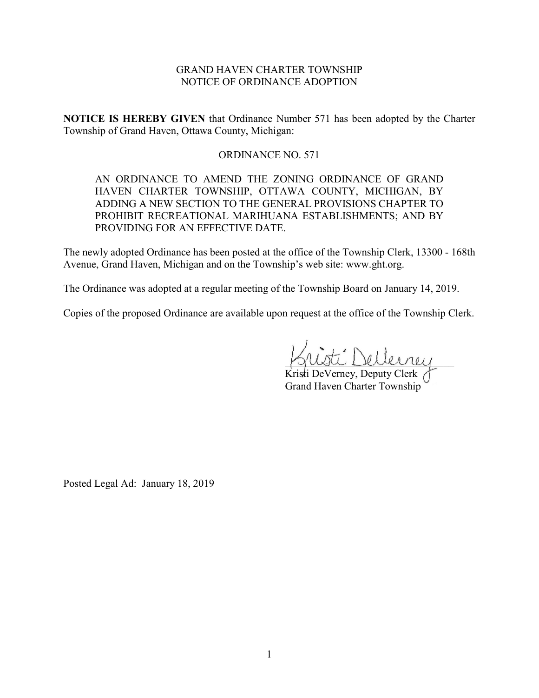# GRAND HAVEN CHARTER TOWNSHIP NOTICE OF ORDINANCE ADOPTION

**NOTICE IS HEREBY GIVEN** that Ordinance Number 571 has been adopted by the Charter Township of Grand Haven, Ottawa County, Michigan:

# ORDINANCE NO. 571

AN ORDINANCE TO AMEND THE ZONING ORDINANCE OF GRAND HAVEN CHARTER TOWNSHIP, OTTAWA COUNTY, MICHIGAN, BY ADDING A NEW SECTION TO THE GENERAL PROVISIONS CHAPTER TO PROHIBIT RECREATIONAL MARIHUANA ESTABLISHMENTS; AND BY PROVIDING FOR AN EFFECTIVE DATE.

The newly adopted Ordinance has been posted at the office of the Township Clerk, 13300 - 168th Avenue, Grand Haven, Michigan and on the Township's web site: www.ght.org.

The Ordinance was adopted at a regular meeting of the Township Board on January 14, 2019.

Copies of the proposed Ordinance are available upon request at the office of the Township Clerk.

\_\_\_\_\_\_\_\_\_\_\_\_\_\_\_\_\_\_\_\_\_\_\_\_\_\_\_\_\_\_\_\_

Kristi DeVerney, Deputy Clerk Grand Haven Charter Township

Posted Legal Ad: January 18, 2019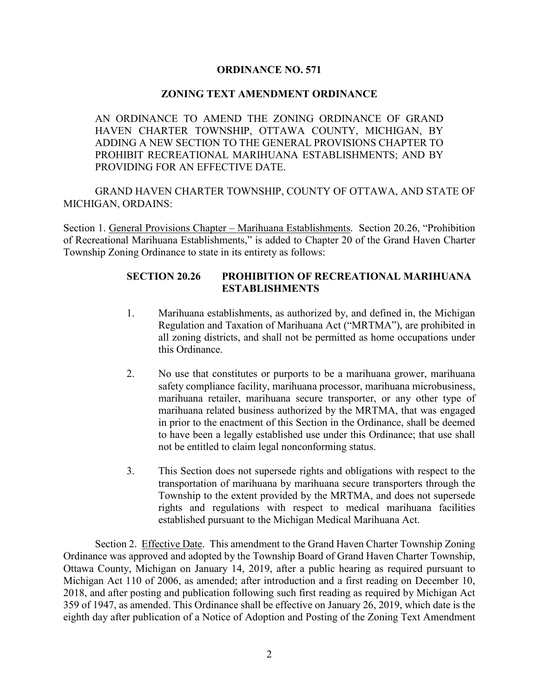# **ORDINANCE NO. 571**

### **ZONING TEXT AMENDMENT ORDINANCE**

AN ORDINANCE TO AMEND THE ZONING ORDINANCE OF GRAND HAVEN CHARTER TOWNSHIP, OTTAWA COUNTY, MICHIGAN, BY ADDING A NEW SECTION TO THE GENERAL PROVISIONS CHAPTER TO PROHIBIT RECREATIONAL MARIHUANA ESTABLISHMENTS; AND BY PROVIDING FOR AN EFFECTIVE DATE.

GRAND HAVEN CHARTER TOWNSHIP, COUNTY OF OTTAWA, AND STATE OF MICHIGAN, ORDAINS:

Section 1. General Provisions Chapter – Marihuana Establishments. Section 20.26, "Prohibition of Recreational Marihuana Establishments," is added to Chapter 20 of the Grand Haven Charter Township Zoning Ordinance to state in its entirety as follows:

# **SECTION 20.26 PROHIBITION OF RECREATIONAL MARIHUANA ESTABLISHMENTS**

- 1. Marihuana establishments, as authorized by, and defined in, the Michigan Regulation and Taxation of Marihuana Act ("MRTMA"), are prohibited in all zoning districts, and shall not be permitted as home occupations under this Ordinance.
- 2. No use that constitutes or purports to be a marihuana grower, marihuana safety compliance facility, marihuana processor, marihuana microbusiness, marihuana retailer, marihuana secure transporter, or any other type of marihuana related business authorized by the MRTMA, that was engaged in prior to the enactment of this Section in the Ordinance, shall be deemed to have been a legally established use under this Ordinance; that use shall not be entitled to claim legal nonconforming status.
- 3. This Section does not supersede rights and obligations with respect to the transportation of marihuana by marihuana secure transporters through the Township to the extent provided by the MRTMA, and does not supersede rights and regulations with respect to medical marihuana facilities established pursuant to the Michigan Medical Marihuana Act.

Section 2. Effective Date. This amendment to the Grand Haven Charter Township Zoning Ordinance was approved and adopted by the Township Board of Grand Haven Charter Township, Ottawa County, Michigan on January 14, 2019, after a public hearing as required pursuant to Michigan Act 110 of 2006, as amended; after introduction and a first reading on December 10, 2018, and after posting and publication following such first reading as required by Michigan Act 359 of 1947, as amended. This Ordinance shall be effective on January 26, 2019, which date is the eighth day after publication of a Notice of Adoption and Posting of the Zoning Text Amendment